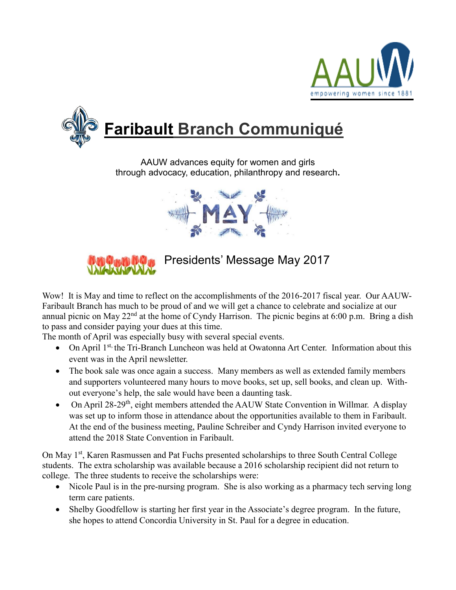



AAUW advances equity for women and girls through advocacy, education, philanthropy and research**.**





Presidents' Message May 2017

Wow! It is May and time to reflect on the accomplishments of the 2016-2017 fiscal year. Our AAUW-Faribault Branch has much to be proud of and we will get a chance to celebrate and socialize at our annual picnic on May  $22<sup>nd</sup>$  at the home of Cyndy Harrison. The picnic begins at 6:00 p.m. Bring a dish to pass and consider paying your dues at this time.

The month of April was especially busy with several special events.

- On April 1<sup>st,</sup> the Tri-Branch Luncheon was held at Owatonna Art Center. Information about this event was in the April newsletter.
- The book sale was once again a success. Many members as well as extended family members and supporters volunteered many hours to move books, set up, sell books, and clean up. Without everyone's help, the sale would have been a daunting task.
- On April  $28-29$ <sup>th</sup>, eight members attended the AAUW State Convention in Willmar. A display was set up to inform those in attendance about the opportunities available to them in Faribault. At the end of the business meeting, Pauline Schreiber and Cyndy Harrison invited everyone to attend the 2018 State Convention in Faribault.

On May 1<sup>st</sup>, Karen Rasmussen and Pat Fuchs presented scholarships to three South Central College students. The extra scholarship was available because a 2016 scholarship recipient did not return to college. The three students to receive the scholarships were:

- Nicole Paul is in the pre-nursing program. She is also working as a pharmacy tech serving long term care patients.
- Shelby Goodfellow is starting her first year in the Associate's degree program. In the future, she hopes to attend Concordia University in St. Paul for a degree in education.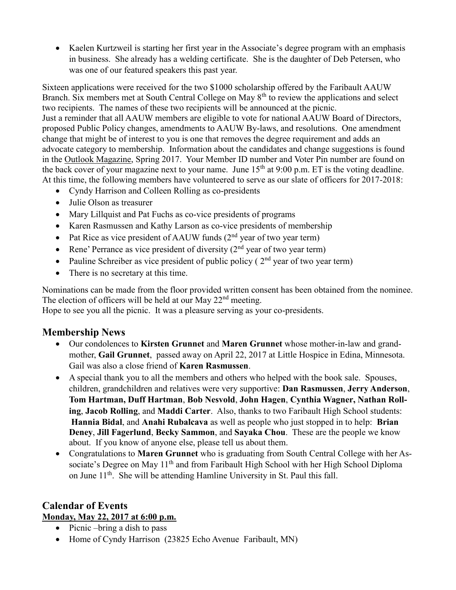• Kaelen Kurtzweil is starting her first year in the Associate's degree program with an emphasis in business. She already has a welding certificate. She is the daughter of Deb Petersen, who was one of our featured speakers this past year.

Sixteen applications were received for the two \$1000 scholarship offered by the Faribault AAUW Branch. Six members met at South Central College on May 8<sup>th</sup> to review the applications and select two recipients. The names of these two recipients will be announced at the picnic. Just a reminder that all AAUW members are eligible to vote for national AAUW Board of Directors, proposed Public Policy changes, amendments to AAUW By-laws, and resolutions. One amendment change that might be of interest to you is one that removes the degree requirement and adds an advocate category to membership. Information about the candidates and change suggestions is found in the Outlook Magazine, Spring 2017. Your Member ID number and Voter Pin number are found on the back cover of your magazine next to your name. June  $15<sup>th</sup>$  at 9:00 p.m. ET is the voting deadline. At this time, the following members have volunteered to serve as our slate of officers for 2017-2018:

- Cyndy Harrison and Colleen Rolling as co-presidents
- Julie Olson as treasurer
- Mary Lillquist and Pat Fuchs as co-vice presidents of programs
- Karen Rasmussen and Kathy Larson as co-vice presidents of membership
- Pat Rice as vice president of AAUW funds  $(2<sup>nd</sup>$  year of two year term)
- Rene' Perrance as vice president of diversity  $(2<sup>nd</sup>$  year of two year term)
- Pauline Schreiber as vice president of public policy ( $2<sup>nd</sup>$  year of two year term)
- There is no secretary at this time.

Nominations can be made from the floor provided written consent has been obtained from the nominee. The election of officers will be held at our May  $22<sup>nd</sup>$  meeting.

Hope to see you all the picnic. It was a pleasure serving as your co-presidents.

### **Membership News**

- Our condolences to **Kirsten Grunnet** and **Maren Grunnet** whose mother-in-law and grandmother, **Gail Grunnet**, passed away on April 22, 2017 at Little Hospice in Edina, Minnesota. Gail was also a close friend of **Karen Rasmussen**.
- A special thank you to all the members and others who helped with the book sale. Spouses, children, grandchildren and relatives were very supportive: **Dan Rasmussen**, **Jerry Anderson**, **Tom Hartman, Duff Hartman**, **Bob Nesvold**, **John Hagen**, **Cynthia Wagner, Nathan Rolling**, **Jacob Rolling**, and **Maddi Carter**. Also, thanks to two Faribault High School students: **Hannia Bidal**, and **Anahi Rubalcava** as well as people who just stopped in to help: **Brian Deney**, **Jill Fagerlund**, **Becky Sammon**, and **Sayaka Chou**. These are the people we know about. If you know of anyone else, please tell us about them.
- Congratulations to **Maren Grunnet** who is graduating from South Central College with her Associate's Degree on May 11<sup>th</sup> and from Faribault High School with her High School Diploma on June 11<sup>th</sup>. She will be attending Hamline University in St. Paul this fall.

### **Calendar of Events Monday, May 22, 2017 at 6:00 p.m.**

- $\bullet$  Picnic –bring a dish to pass
- Home of Cyndy Harrison (23825 Echo Avenue Faribault, MN)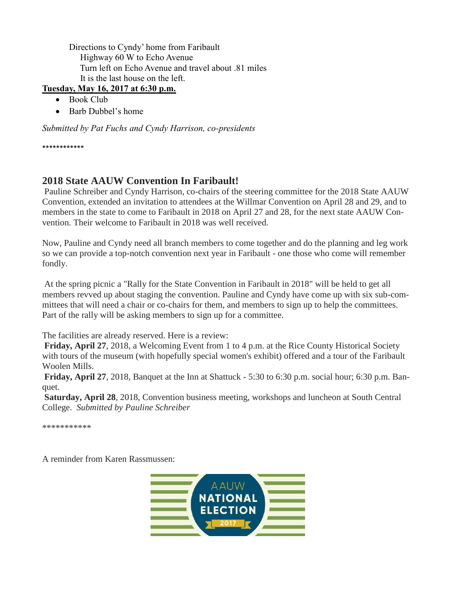Directions to Cyndy' home from Faribault Highway 60 W to Echo Avenue Turn left on Echo Avenue and travel about .81 miles It is the last house on the left.

#### **Tuesday, May 16, 2017 at 6:30 p.m.**

- Book Club
- Barb Dubbel's home

*Submitted by Pat Fuchs and Cyndy Harrison, co-presidents*

\*\*\*\*\*\*\*\*\*\*\*\*

# **2018 State AAUW Convention In Faribault!**

Pauline Schreiber and Cyndy Harrison, co-chairs of the steering committee for the 2018 State AAUW Convention, extended an invitation to attendees at the Willmar Convention on April 28 and 29, and to members in the state to come to Faribault in 2018 on April 27 and 28, for the next state AAUW Convention. Their welcome to Faribault in 2018 was well received.

Now, Pauline and Cyndy need all branch members to come together and do the planning and leg work so we can provide a top-notch convention next year in Faribault - one those who come will remember fondly.

At the spring picnic a "Rally for the State Convention in Faribault in 2018" will be held to get all members revved up about staging the convention. Pauline and Cyndy have come up with six sub-committees that will need a chair or co-chairs for them, and members to sign up to help the committees. Part of the rally will be asking members to sign up for a committee.

The facilities are already reserved. Here is a review:

**Friday, April 27**, 2018, a Welcoming Event from 1 to 4 p.m. at the Rice County Historical Society with tours of the museum (with hopefully special women's exhibit) offered and a tour of the Faribault Woolen Mills.

**Friday, April 27**, 2018, Banquet at the Inn at Shattuck - 5:30 to 6:30 p.m. social hour; 6:30 p.m. Banquet.

**Saturday, April 28**, 2018, Convention business meeting, workshops and luncheon at South Central College. *Submitted by Pauline Schreiber*

\*\*\*\*\*\*\*\*\*\*\*

A reminder from Karen Rassmussen:

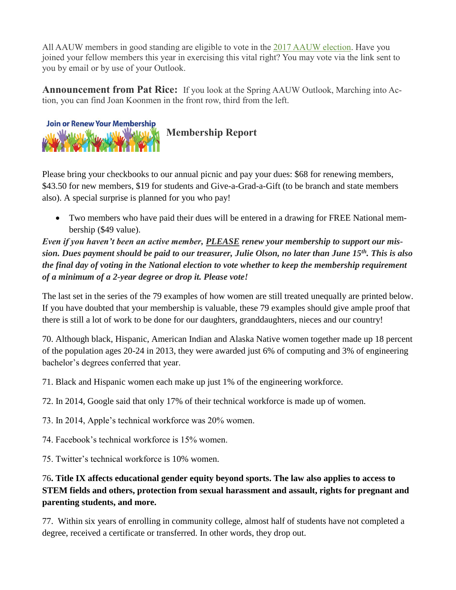All AAUW members in good standing are eligible to vote in the [2017 AAUW election.](http://listsrv.aauw.org/t/118650/11275113/2090/68/) Have you joined your fellow members this year in exercising this vital right? You may vote via the link sent to you by email or by use of your Outlook.

**Announcement from Pat Rice:** If you look at the Spring AAUW Outlook, Marching into Action, you can find Joan Koonmen in the front row, third from the left.



Please bring your checkbooks to our annual picnic and pay your dues: \$68 for renewing members, \$43.50 for new members, \$19 for students and Give-a-Grad-a-Gift (to be branch and state members also). A special surprise is planned for you who pay!

 Two members who have paid their dues will be entered in a drawing for FREE National membership (\$49 value).

*Even if you haven't been an active member, PLEASE renew your membership to support our mission. Dues payment should be paid to our treasurer, Julie Olson, no later than June 15th. This is also the final day of voting in the National election to vote whether to keep the membership requirement of a minimum of a 2-year degree or drop it. Please vote!* 

The last set in the series of the 79 examples of how women are still treated unequally are printed below. If you have doubted that your membership is valuable, these 79 examples should give ample proof that there is still a lot of work to be done for our daughters, granddaughters, nieces and our country!

70. Although black, Hispanic, American Indian and Alaska Native women together made up 18 percent of the population ages 20-24 in 2013, they were awarded just 6% of computing and 3% of engineering bachelor's degrees conferred that year.

71. Black and Hispanic women each make up just 1% of the engineering workforce.

- 72. In 2014, Google said that only 17% of their technical workforce is made up of women.
- 73. In 2014, Apple's technical workforce was 20% women.
- 74. Facebook's technical workforce is 15% women.

75. Twitter's technical workforce is 10% women.

## 76**. Title IX affects educational gender equity beyond sports. The law also applies to access to STEM fields and others, protection from sexual harassment and assault, rights for pregnant and parenting students, and more.**

77. Within six years of enrolling in community college, almost half of students have not completed a degree, received a certificate or transferred. In other words, they drop out.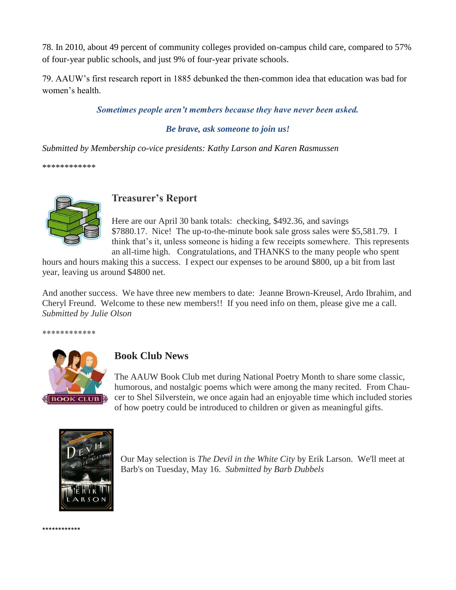78. In 2010, about 49 percent of community colleges provided on-campus child care, compared to 57% of four-year public schools, and just 9% of four-year private schools.

79. AAUW's first research report in 1885 debunked the then-common idea that education was bad for women's health.

#### *Sometimes people aren't members because they have never been asked.*

#### *Be brave, ask someone to join us!*

*Submitted by Membership co-vice presidents: Kathy Larson and Karen Rasmussen*

\*\*\*\*\*\*\*\*\*\*\*\*



## **Treasurer's Report**

Here are our April 30 bank totals: checking, \$492.36, and savings \$7880.17. Nice! The up-to-the-minute book sale gross sales were \$5,581.79. I think that's it, unless someone is hiding a few receipts somewhere. This represents an all-time high. Congratulations, and THANKS to the many people who spent

hours and hours making this a success. I expect our expenses to be around \$800, up a bit from last year, leaving us around \$4800 net.

And another success. We have three new members to date: Jeanne Brown-Kreusel, Ardo Ibrahim, and Cheryl Freund. Welcome to these new members!! If you need info on them, please give me a call. *Submitted by Julie Olson*

\*\*\*\*\*\*\*\*\*\*\*\*



## **Book Club News**

The AAUW Book Club met during National Poetry Month to share some classic, humorous, and nostalgic poems which were among the many recited. From Chaucer to Shel Silverstein, we once again had an enjoyable time which included stories of how poetry could be introduced to children or given as meaningful gifts.



Our May selection is *The Devil in the White City* by Erik Larson. We'll meet at Barb's on Tuesday, May 16. *Submitted by Barb Dubbels*

\*\*\*\*\*\*\*\*\*\*\*\*